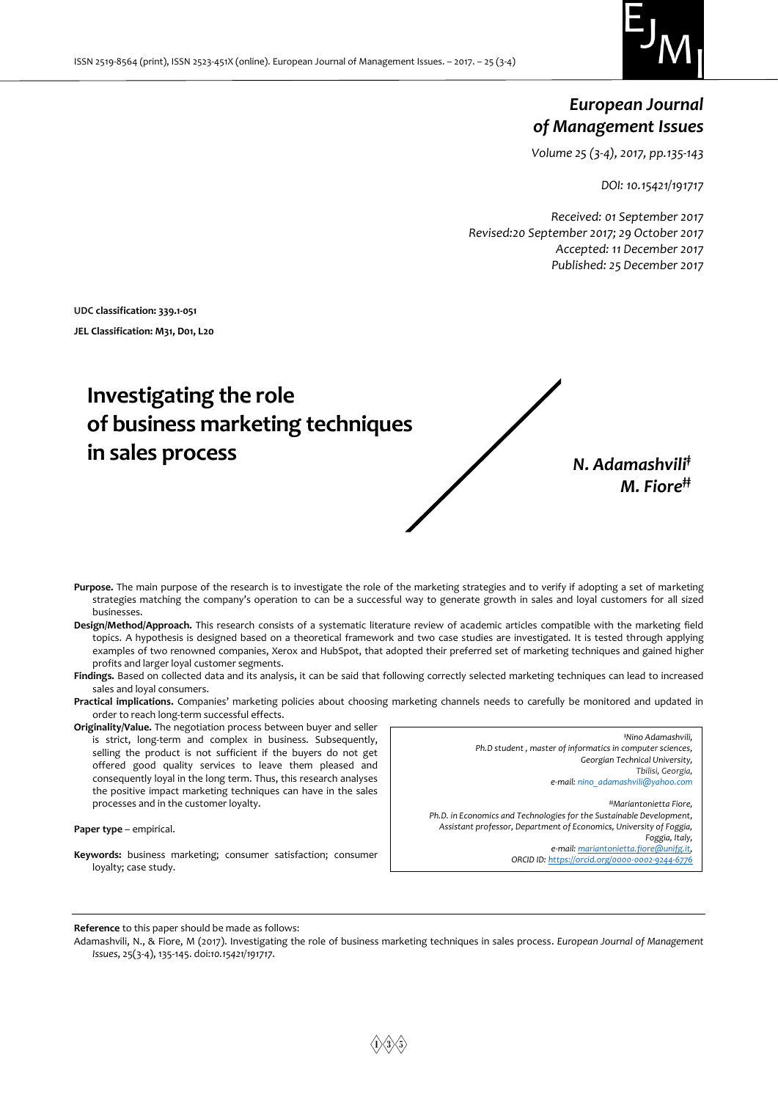

# *European Journal of Management Issues*

*Volume 25 (3-4), 2017, pp.135-143*

*DOI: 10.15421/191717*

*Received: 01 September 2017 Revised:20 September 2017; 29 October 2017 Accepted: 11 December 2017 Published: 25 December 2017*

**UDC classification: 339.1-051 JEL Classification: M31, D01, L20**

# **Investigating the role of business marketing techniques in sales process** *N. Adamashvili‡*

*M. Fiore‡‡*

- Purpose. The main purpose of the research is to investigate the role of the marketing strategies and to verify if adopting a set of marketing strategies matching the company's operation to can be a successful way to generate growth in sales and loyal customers for all sized businesses.
- **Design/Method/Approach.** This research consists of a systematic literature review of academic articles compatible with the marketing field topics. A hypothesis is designed based on a theoretical framework and two case studies are investigated. It is tested through applying examples of two renowned companies, Xerox and HubSpot, that adopted their preferred set of marketing techniques and gained higher profits and larger loyal customer segments.
- Findings. Based on collected data and its analysis, it can be said that following correctly selected marketing techniques can lead to increased sales and loyal consumers.
- **Practical implications.** Companies' marketing policies about choosing marketing channels needs to carefully be monitored and updated in order to reach long-term successful effects.
- **Originality/Value.** The negotiation process between buyer and seller is strict, long-term and complex in business. Subsequently, selling the product is not sufficient if the buyers do not get offered good quality services to leave them pleased and consequently loyal in the long term. Thus, this research analyses the positive impact marketing techniques can have in the sales processes and in the customer loyalty.

**Paper type** – empirical.

**Keywords:** business marketing; consumer satisfaction; consumer loyalty; case study.

*‡Nino Adamashvili, Ph.D student , master of informatics in computer sciences, Georgian Technical University, Tbilisi, Georgia, e-mail[: nino\\_adamashvili@yahoo.com](mailto:nino_adamashvili@yahoo.com) ‡‡Mariantonietta Fiore, Ph.D. in Economics and Technologies for the Sustainable Development, Assistant professor, Department of Economics, University of Foggia, Foggia, Italy, e-mail[: mariantonietta.fiore@unifg.it,](mailto:mariantonietta.fiore@unifg.it) ORCID ID: <https://orcid.org/0000-0002-9244-6776>*

**Reference** to this paper should be made as follows:

Adamashvili, N., & Fiore, M (2017). Investigating the role of business marketing techniques in sales process. *European Journal of Management Issues*, 25(3-4), 135-145. doi:*10.15421/191717*.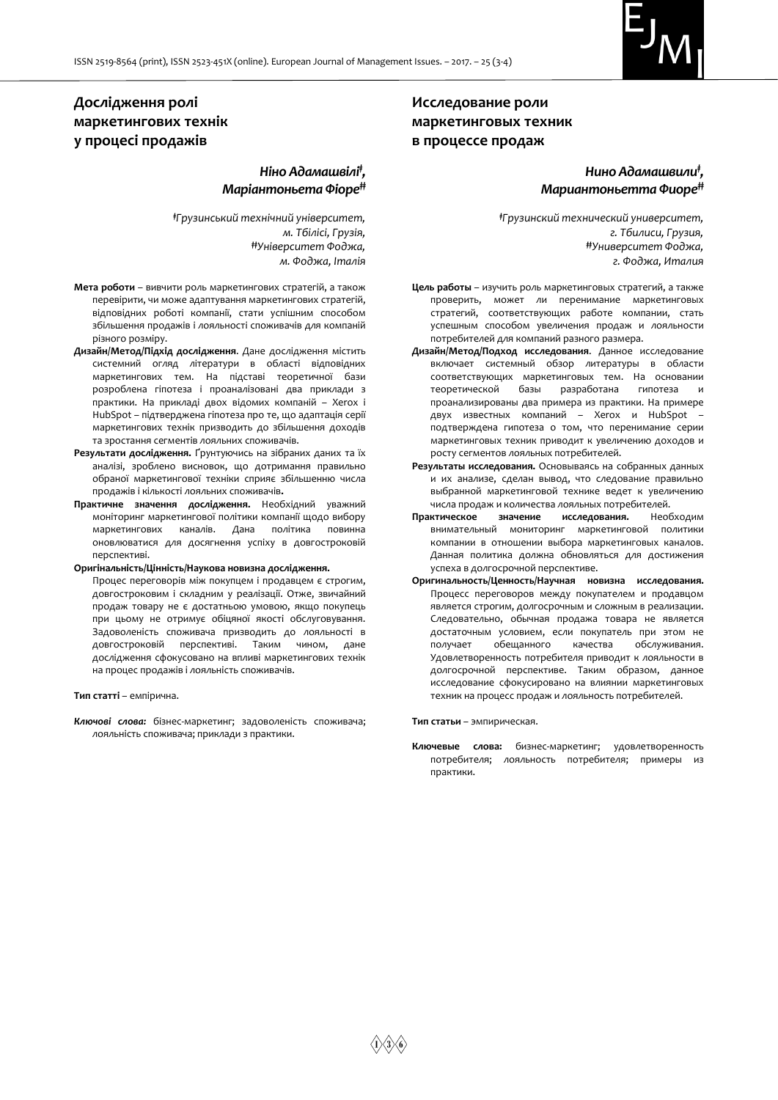

## **Дослідження ролі маркетингових технік у процесі продажів**

### *Ніно Адамашвілі‡ , Маріантоньета Фіоре‡‡*

*‡Грузинський технічний університет, м. Тбілісі, Грузія, ‡‡Університет Фоджа, м. Фоджа, Італія*

- **Мета роботи** вивчити роль маркетингових стратегій, а також перевірити, чи може адаптування маркетингових стратегій, відповідних роботі компанії, стати успішним способом збільшення продажів і лояльності споживачів для компаній різного розміру.
- **Дизайн/Метод/Підхід дослідження**. Дане дослідження містить системний огляд літератури в області відповідних маркетингових тем. На підставі теоретичної бази розроблена гіпотеза і проаналізовані два приклади з практики. На прикладі двох відомих компаній – Xerox і HubSpot – підтверджена гіпотеза про те, що адаптація серії маркетингових технік призводить до збільшення доходів та зростання сегментів лояльних споживачів.
- **Результати дослідження.** Ґрунтуючись на зібраних даних та їх аналізі, зроблено висновок, що дотримання правильно обраної маркетингової техніки сприяє збільшенню числа продажів і кількості лояльних споживачів**.**
- **Практичне значення дослідження.** Необхідний уважний моніторинг маркетингової політики компанії щодо вибору маркетингових каналів. Дана політика повинна оновлюватися для досягнення успіху в довгостроковій перспективі.
- **Оригінальність/Цінність/Наукова новизна дослідження.**

Процес переговорів між покупцем і продавцем є строгим, довгостроковим і складним у реалізації. Отже, звичайний продаж товару не є достатньою умовою, якщо покупець при цьому не отримує обіцяної якості обслуговування. Задоволеність споживача призводить до лояльності в довгостроковій перспективі. Таким чином, дане дослідження сфокусовано на впливі маркетингових технік на процес продажів і лояльність споживачів.

#### **Тип статті** – емпірична.

*Ключові слова:* бізнес-маркетинг; задоволеність споживача; лояльність споживача; приклади з практики.

## **Исследование роли маркетинговых техник в процессе продаж**

## *Нино Адамашвили‡ , Мариантоньетта Фиоре‡‡*

*‡Грузинский технический университет, г. Тбилиси, Грузия, ‡‡Университет Фоджа, г. Фоджа, Италия*

- **Цель работы** изучить роль маркетинговых стратегий, а также проверить, может ли перенимание маркетинговых стратегий, соответствующих работе компании, стать успешным способом увеличения продаж и лояльности потребителей для компаний разного размера.
- **Дизайн/Метод/Подход исследования**. Данное исследование включает системный обзор литературы в области соответствующих маркетинговых тем. На основании теоретической базы разработана гипотеза и проанализированы два примера из практики. На примере двух известных компаний – Xerox и HubSpot – подтверждена гипотеза о том, что перенимание серии маркетинговых техник приводит к увеличению доходов и росту сегментов лояльных потребителей.
- **Результаты исследования.** Основываясь на собранных данных и их анализе, сделан вывод, что следование правильно выбранной маркетинговой технике ведет к увеличению числа продаж и количества лояльных потребителей.
- **Практическое значение исследования.** Необходим внимательный мониторинг маркетинговой политики компании в отношении выбора маркетинговых каналов. Данная политика должна обновляться для достижения успеха в долгосрочной перспективе.
- **Оригинальность/Ценность/Научная новизна исследования.**  Процесс переговоров между покупателем и продавцом является строгим, долгосрочным и сложным в реализации. Следовательно, обычная продажа товара не является достаточным условием, если покупатель при этом не получает обещанного качества обслуживания. Удовлетворенность потребителя приводит к лояльности в долгосрочной перспективе. Таким образом, данное исследование сфокусировано на влиянии маркетинговых техник на процесс продаж и лояльность потребителей.

**Тип статьи** – эмпирическая.

**Ключевые слова:** бизнес-маркетинг; удовлетворенность потребителя; лояльность потребителя; примеры из практики.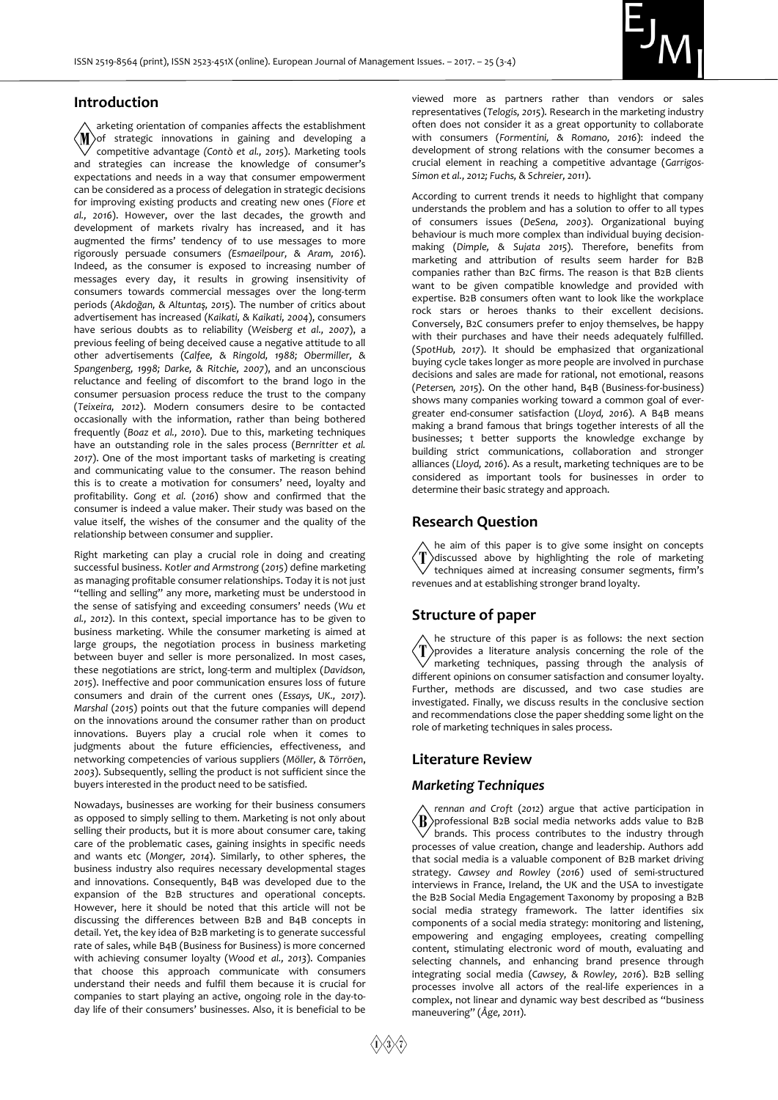

#### **Introduction**

arketing orientation of companies affects the establishment  $\langle \text{M}\rangle$ of strategic innovations in gaining and developing a competitive advantage *(Contò et al., 2015*). Marketing tools and strategies can increase the knowledge of consumer's expectations and needs in a way that consumer empowerment can be considered as a process of delegation in strategic decisions for improving existing products and creating new ones (*Fiore et al., 2016*). However, over the last decades, the growth and development of markets rivalry has increased, and it has augmented the firms' tendency of to use messages to more rigorously persuade consumers *(Esmaeilpour, & Aram, 2016*). Indeed, as the consumer is exposed to increasing number of messages every day, it results in growing insensitivity of consumers towards commercial messages over the long-term periods (*Akdoğan, & Altuntaş, 2015*). The number of critics about advertisement has increased (*Kaikati, & Kaikati, 2004*), consumers have serious doubts as to reliability (*Weisberg et al., 2007*), a previous feeling of being deceived cause a negative attitude to all other advertisements (*Calfee, & Ringold, 1988; Obermiller, & Spangenberg, 1998; Darke, & Ritchie, 2007*), and an unconscious reluctance and feeling of discomfort to the brand logo in the consumer persuasion process reduce the trust to the company (*Teixeira, 2012*). Modern consumers desire to be contacted occasionally with the information, rather than being bothered frequently (*Boaz et al., 2010*). Due to this, marketing techniques have an outstanding role in the sales process (*Bernritter et al. 2017*). One of the most important tasks of marketing is creating and communicating value to the consumer. The reason behind this is to create a motivation for consumers' need, loyalty and profitability. *Gong et al.* (*2016*) show and confirmed that the consumer is indeed a value maker. Their study was based on the value itself, the wishes of the consumer and the quality of the relationship between consumer and supplier.

Right marketing can play a crucial role in doing and creating successful business. *Kotler and Armstrong* (*2015*) define marketing as managing profitable consumer relationships. Today it is not just "telling and selling" any more, marketing must be understood in the sense of satisfying and exceeding consumers' needs (*Wu et al., 2012*). In this context, special importance has to be given to business marketing. While the consumer marketing is aimed at large groups, the negotiation process in business marketing between buyer and seller is more personalized. In most cases, these negotiations are strict, long-term and multiplex (*Davidson, 2015*). Ineffective and poor communication ensures loss of future consumers and drain of the current ones (*Essays, UK., 2017*). *Marshal* (*2015*) points out that the future companies will depend on the innovations around the consumer rather than on product innovations. Buyers play a crucial role when it comes to judgments about the future efficiencies, effectiveness, and networking competencies of various suppliers (*Möller, & Törröen*, *2003*). Subsequently, selling the product is not sufficient since the buyers interested in the product need to be satisfied.

Nowadays, businesses are working for their business consumers as opposed to simply selling to them. Marketing is not only about selling their products, but it is more about consumer care, taking care of the problematic cases, gaining insights in specific needs and wants etc (*Monger, 2014*). Similarly, to other spheres, the business industry also requires necessary developmental stages and innovations. Consequently, B4B was developed due to the expansion of the B2B structures and operational concepts. However, here it should be noted that this article will not be discussing the differences between B2B and B4B concepts in detail. Yet, the key idea of B2B marketing is to generate successful rate of sales, while B4B (Business for Business) is more concerned with achieving consumer loyalty (*Wood et al., 2013*). Companies that choose this approach communicate with consumers understand their needs and fulfil them because it is crucial for companies to start playing an active, ongoing role in the day-today life of their consumers' businesses. Also, it is beneficial to be

viewed more as partners rather than vendors or sales representatives (*Telogis, 2015*). Research in the marketing industry often does not consider it as a great opportunity to collaborate with consumers (*Formentini, & Romano, 2016*): indeed the development of strong relations with the consumer becomes a crucial element in reaching a competitive advantage (*Garrigos-Simon et al., 2012; Fuchs, & Schreier, 2011*).

According to current trends it needs to highlight that company understands the problem and has a solution to offer to all types of consumers issues (*DeSena, 2003*). Organizational buying behaviour is much more complex than individual buying decisionmaking (*Dimple, & Sujata 2015*). Therefore, benefits from marketing and attribution of results seem harder for B2B companies rather than B2C firms. The reason is that B2B clients want to be given compatible knowledge and provided with expertise. B2B consumers often want to look like the workplace rock stars or heroes thanks to their excellent decisions. Conversely, B2C consumers prefer to enjoy themselves, be happy with their purchases and have their needs adequately fulfilled. (*SpotHub, 2017*). It should be emphasized that organizational buying cycle takes longer as more people are involved in purchase decisions and sales are made for rational, not emotional, reasons (*Petersen, 2015*). On the other hand, B4B (Business-for-business) shows many companies working toward a common goal of evergreater end-consumer satisfaction (*Lloyd, 2016*). A B4B means making a brand famous that brings together interests of all the businesses; t better supports the knowledge exchange by building strict communications, collaboration and stronger alliances (*Lloyd, 2016*). As a result, marketing techniques are to be considered as important tools for businesses in order to determine their basic strategy and approach.

#### **Research Question**

he aim of this paper is to give some insight on concepts discussed above by highlighting the role of marketing techniques aimed at increasing consumer segments, firm's revenues and at establishing stronger brand loyalty.

#### **Structure of paper**

he structure of this paper is as follows: the next section provides a literature analysis concerning the role of the marketing techniques, passing through the analysis of different opinions on consumer satisfaction and consumer loyalty. Further, methods are discussed, and two case studies are investigated. Finally, we discuss results in the conclusive section and recommendations close the paper shedding some light on the role of marketing techniques in sales process.

#### **Literature Review**

#### *Marketing Techniques*

*rennan and Croft* (*2012*) argue that active participation in  $\langle \text{R} \rangle$ professional B2B social media networks adds value to B2B  $\sqrt$  brands. This process contributes to the industry through processes of value creation, change and leadership. Authors add that social media is a valuable component of B2B market driving strategy. *Cawsey and Rowley* (*2016*) used of semi-structured interviews in France, Ireland, the UK and the USA to investigate the B2B Social Media Engagement Taxonomy by proposing a B2B social media strategy framework. The latter identifies six components of a social media strategy: monitoring and listening, empowering and engaging employees, creating compelling content, stimulating electronic word of mouth, evaluating and selecting channels, and enhancing brand presence through integrating social media (*Cawsey, & Rowley, 2016*). B2B selling processes involve all actors of the real-life experiences in a complex, not linear and dynamic way best described as "business maneuvering" (*Åge, 2011*).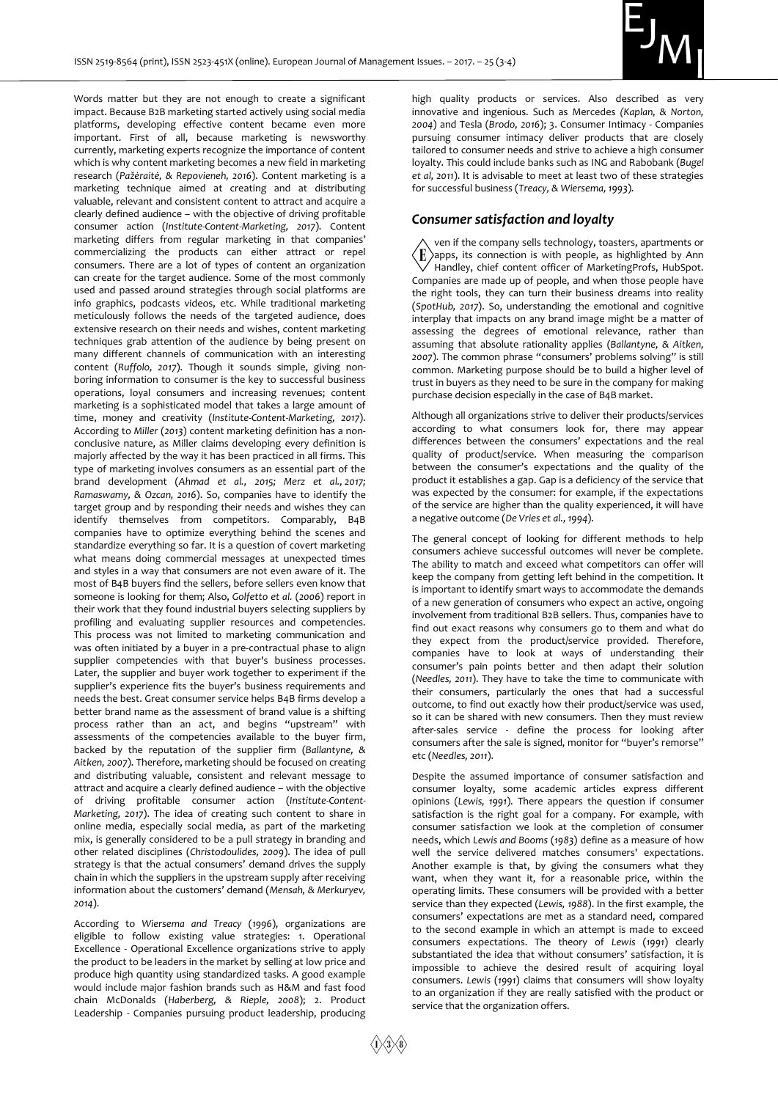

Words matter but they are not enough to create a significant impact. Because B2B marketing started actively using social media platforms, developing effective content became even more important. First of all, because marketing is newsworthy currently, marketing experts recognize the importance of content which is why content marketing becomes a new field in marketing research (*Pažėraitė, & Repovieneh, 2016*). Content marketing is a marketing technique aimed at creating and at distributing valuable, relevant and consistent content to attract and acquire a clearly defined audience – with the objective of driving profitable consumer action (*Institute-Content-Marketing, 2017*). Content marketing differs from regular marketing in that companies' commercializing the products can either attract or repel consumers. There are a lot of types of content an organization can create for the target audience. Some of the most commonly used and passed around strategies through social platforms are info graphics, podcasts videos, etc. While traditional marketing meticulously follows the needs of the targeted audience, does extensive research on their needs and wishes, content marketing techniques grab attention of the audience by being present on many different channels of communication with an interesting content (*Ruffolo, 2017*). Though it sounds simple, giving nonboring information to consumer is the key to successful business operations, loyal consumers and increasing revenues; content marketing is a sophisticated model that takes a large amount of time, money and creativity (*Institute-Content-Marketing, 2017*). According to *Miller* (*2013*) content marketing definition has a nonconclusive nature, as Miller claims developing every definition is majorly affected by the way it has been practiced in all firms. This type of marketing involves consumers as an essential part of the brand development (*Ahmad et al., 2015; Merz et al., 2017; Ramaswamy, & Ozcan, 2016*). So, companies have to identify the target group and by responding their needs and wishes they can identify themselves from competitors. Comparably, B4B companies have to optimize everything behind the scenes and standardize everything so far. It is a question of covert marketing what means doing commercial messages at unexpected times and styles in a way that consumers are not even aware of it. The most of B4B buyers find the sellers, before sellers even know that someone is looking for them; Also, *Golfetto et al.* (*2006*) report in their work that they found industrial buyers selecting suppliers by profiling and evaluating supplier resources and competencies. This process was not limited to marketing communication and was often initiated by a buyer in a pre-contractual phase to align supplier competencies with that buyer's business processes. Later, the supplier and buyer work together to experiment if the supplier's experience fits the buyer's business requirements and needs the best. Great consumer service helps B4B firms develop a better brand name as the assessment of brand value is a shifting process rather than an act, and begins "upstream" with assessments of the competencies available to the buyer firm, backed by the reputation of the supplier firm (*Ballantyne, & Aitken, 2007*). Therefore, marketing should be focused on creating and distributing valuable, consistent and relevant message to attract and acquire a clearly defined audience – with the objective of driving profitable consumer action (*Institute-Content-Marketing, 2017*). The idea of creating such content to share in online media, especially social media, as part of the marketing mix, is generally considered to be a pull strategy in branding and other related disciplines (*Christodoulides, 2009*). The idea of pull strategy is that the actual consumers' demand drives the supply chain in which the suppliers in the upstream supply after receiving information about the customers' demand (*Mensah, & Merkuryev, 2014*).

According to *Wiersema and Treacy* (*1996*), organizations are eligible to follow existing value strategies: 1. Operational Excellence - Operational Excellence organizations strive to apply the product to be leaders in the market by selling at low price and produce high quantity using standardized tasks. A good example would include major fashion brands such as H&M and fast food chain McDonalds (*Haberberg, & Rieple, 2008*); 2. Product Leadership - Companies pursuing product leadership, producing

high quality products or services. Also described as very innovative and ingenious. Such as Mercedes *(Kaplan, & Norton, 2004*) and Tesla (*Brodo, 2016*); 3. Consumer Intimacy - Companies pursuing consumer intimacy deliver products that are closely tailored to consumer needs and strive to achieve a high consumer loyalty. This could include banks such as ING and Rabobank (*Bugel et al, 2011*). It is advisable to meet at least two of these strategies for successful business (*Treacy, & Wiersema, 1993*).

#### *Consumer satisfaction and loyalty*

ven if the company sells technology, toasters, apartments or  $\langle \mathbf{F} \rangle$ apps, its connection is with people, as highlighted by Ann  $\sqrt{\ }$  Handley, chief content officer of MarketingProfs, HubSpot. Companies are made up of people, and when those people have the right tools, they can turn their business dreams into reality (*SpotHub, 2017*). So, understanding the emotional and cognitive interplay that impacts on any brand image might be a matter of assessing the degrees of emotional relevance, rather than assuming that absolute rationality applies (*Ballantyne, & Aitken, 2007*). The common phrase "consumers' problems solving" is still common. Marketing purpose should be to build a higher level of trust in buyers as they need to be sure in the company for making purchase decision especially in the case of B4B market.

Although all organizations strive to deliver their products/services according to what consumers look for, there may appear differences between the consumers' expectations and the real quality of product/service. When measuring the comparison between the consumer's expectations and the quality of the product it establishes a gap. Gap is a deficiency of the service that was expected by the consumer: for example, if the expectations of the service are higher than the quality experienced, it will have a negative outcome (*De Vries et al., 1994*).

The general concept of looking for different methods to help consumers achieve successful outcomes will never be complete. The ability to match and exceed what competitors can offer will keep the company from getting left behind in the competition. It is important to identify smart ways to accommodate the demands of a new generation of consumers who expect an active, ongoing involvement from traditional B2B sellers. Thus, companies have to find out exact reasons why consumers go to them and what do they expect from the product/service provided. Therefore, companies have to look at ways of understanding their consumer's pain points better and then adapt their solution (*Needles, 2011*). They have to take the time to communicate with their consumers, particularly the ones that had a successful outcome, to find out exactly how their product/service was used, so it can be shared with new consumers. Then they must review after-sales service - define the process for looking after consumers after the sale is signed, monitor for "buyer's remorse" etc (*Needles, 2011*).

Despite the assumed importance of consumer satisfaction and consumer loyalty, some academic articles express different opinions (*Lewis, 1991*). There appears the question if consumer satisfaction is the right goal for a company. For example, with consumer satisfaction we look at the completion of consumer needs, which *Lewis and Booms* (*1983*) define as a measure of how well the service delivered matches consumers' expectations. Another example is that, by giving the consumers what they want, when they want it, for a reasonable price, within the operating limits. These consumers will be provided with a better service than they expected (*Lewis, 1988*). In the first example, the consumers' expectations are met as a standard need, compared to the second example in which an attempt is made to exceed consumers expectations. The theory of *Lewis* (*1991*) clearly substantiated the idea that without consumers' satisfaction, it is impossible to achieve the desired result of acquiring loyal consumers. *Lewis* (*1991*) claims that consumers will show loyalty to an organization if they are really satisfied with the product or service that the organization offers.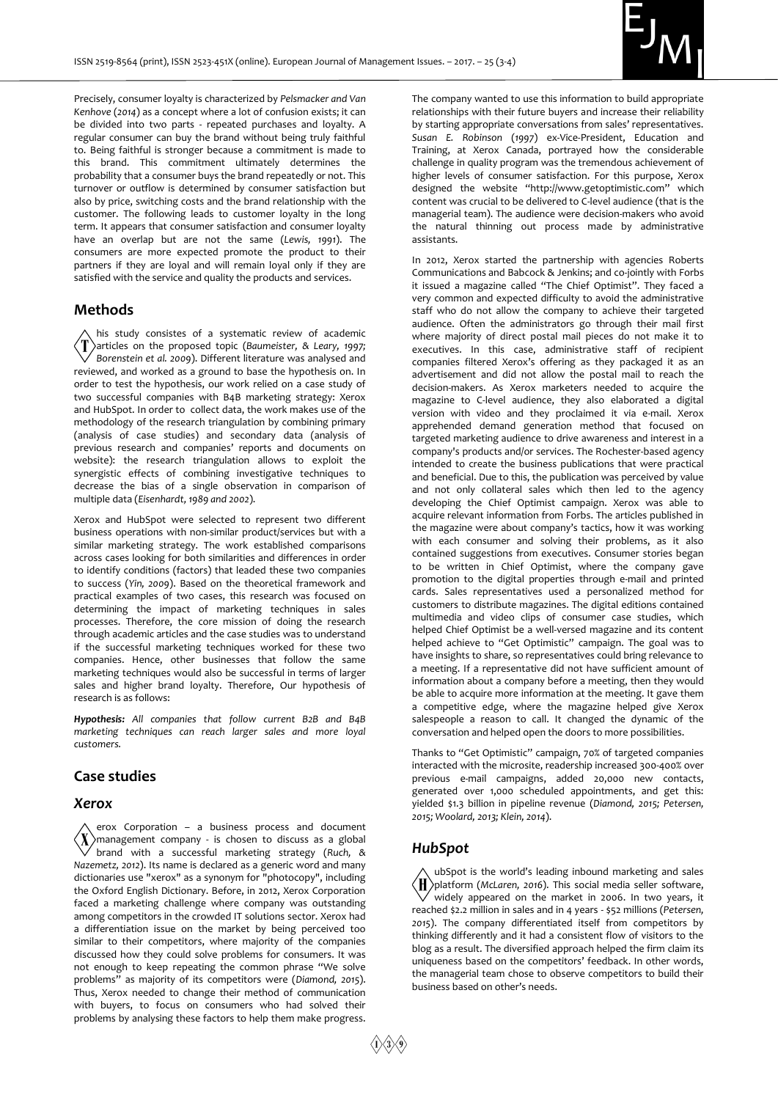

Precisely, consumer loyalty is characterized by *Pelsmacker and Van Kenhove* (*2014*) as a concept where a lot of confusion exists; it can be divided into two parts - repeated purchases and loyalty. A regular consumer can buy the brand without being truly faithful to. Being faithful is stronger because a commitment is made to this brand. This commitment ultimately determines the probability that a consumer buys the brand repeatedly or not. This turnover or outflow is determined by consumer satisfaction but also by price, switching costs and the brand relationship with the customer. The following leads to customer loyalty in the long term. It appears that consumer satisfaction and consumer loyalty have an overlap but are not the same (*Lewis, 1991*). The consumers are more expected promote the product to their partners if they are loyal and will remain loyal only if they are satisfied with the service and quality the products and services.

#### **Methods**

his study consistes of a systematic review of academic articles on the proposed topic (*Baumeister, & Leary, 1997; Borenstein et al. 2009*). Different literature was analysed and reviewed, and worked as a ground to base the hypothesis on. In order to test the hypothesis, our work relied on a case study of two successful companies with B4B marketing strategy: Xerox and HubSpot. In order to collect data, the work makes use of the methodology of the research triangulation by combining primary (analysis of case studies) and secondary data (analysis of previous research and companies' reports and documents on website): the research triangulation allows to exploit the synergistic effects of combining investigative techniques to decrease the bias of a single observation in comparison of multiple data (*Eisenhardt, 1989 and 2002*).

Xerox and HubSpot were selected to represent two different business operations with non-similar product/services but with a similar marketing strategy. The work established comparisons across cases looking for both similarities and differences in order to identify conditions (factors) that leaded these two companies to success (*Yin, 2009*). Based on the theoretical framework and practical examples of two cases, this research was focused on determining the impact of marketing techniques in sales processes. Therefore, the core mission of doing the research through academic articles and the case studies was to understand if the successful marketing techniques worked for these two companies. Hence, other businesses that follow the same marketing techniques would also be successful in terms of larger sales and higher brand loyalty. Therefore, Our hypothesis of research is as follows:

*Hypothesis: All companies that follow current B2B and B4B marketing techniques can reach larger sales and more loyal customers.*

#### **Case studies**

#### *Xerox*

erox Corporation – a business process and document  $\langle X \rangle$ management company - is chosen to discuss as a global brand with a successful marketing strategy (*Ruch, & Nazemetz, 2012*). Its name is declared as a generic word and many dictionaries use "xerox" as a synonym for "photocopy", including the Oxford English Dictionary. Before, in 2012, Xerox Corporation faced a marketing challenge where company was outstanding among competitors in the crowded IT solutions sector. Xerox had a differentiation issue on the market by being perceived too similar to their competitors, where majority of the companies discussed how they could solve problems for consumers. It was not enough to keep repeating the common phrase "We solve problems" as majority of its competitors were (*Diamond, 2015*). Thus, Xerox needed to change their method of communication with buyers, to focus on consumers who had solved their problems by analysing these factors to help them make progress.

The company wanted to use this information to build appropriate relationships with their future buyers and increase their reliability by starting appropriate conversations from sales' representatives. *Susan E. Robinson* (*1997*) ex-Vice‐President, Education and Training, at Xerox Canada, portrayed how the considerable challenge in quality program was the tremendous achievement of higher levels of consumer satisfaction. For this purpose, Xerox designed the website "http://www.getoptimistic.com" which content was crucial to be delivered to C-level audience (that is the managerial team). The audience were decision-makers who avoid the natural thinning out process made by administrative assistants.

In 2012, Xerox started the partnership with agencies Roberts Communications and Babcock & Jenkins; and co-jointly with Forbs it issued a magazine called "The Chief Optimist". They faced a very common and expected difficulty to avoid the administrative staff who do not allow the company to achieve their targeted audience. Often the administrators go through their mail first where majority of direct postal mail pieces do not make it to executives. In this case, administrative staff of recipient companies filtered Xerox's offering as they packaged it as an advertisement and did not allow the postal mail to reach the decision-makers. As Xerox marketers needed to acquire the magazine to C-level audience, they also elaborated a digital version with video and they proclaimed it via e-mail. Xerox apprehended demand generation method that focused on targeted marketing audience to drive awareness and interest in a company's products and/or services. The Rochester-based agency intended to create the business publications that were practical and beneficial. Due to this, the publication was perceived by value and not only collateral sales which then led to the agency developing the Chief Optimist campaign. Xerox was able to acquire relevant information from Forbs. The articles published in the magazine were about company's tactics, how it was working with each consumer and solving their problems, as it also contained suggestions from executives. Consumer stories began to be written in Chief Optimist, where the company gave promotion to the digital properties through e-mail and printed cards. Sales representatives used a personalized method for customers to distribute magazines. The digital editions contained multimedia and video clips of consumer case studies, which helped Chief Optimist be a well-versed magazine and its content helped achieve to "Get Optimistic" campaign. The goal was to have insights to share, so representatives could bring relevance to a meeting. If a representative did not have sufficient amount of information about a company before a meeting, then they would be able to acquire more information at the meeting. It gave them a competitive edge, where the magazine helped give Xerox salespeople a reason to call. It changed the dynamic of the conversation and helped open the doors to more possibilities.

Thanks to "Get Optimistic" campaign, 70% of targeted companies interacted with the microsite, readership increased 300-400% over previous e-mail campaigns, added 20,000 new contacts, generated over 1,000 scheduled appointments, and get this: yielded \$1.3 billion in pipeline revenue (*Diamond, 2015; Petersen, 2015; Woolard, 2013; Klein, 2014*).

#### *HubSpot*

ubSpot is the world's leading inbound marketing and sales platform (*McLaren, 2016*). This social media seller software, widely appeared on the market in 2006. In two years, it reached \$2.2 million in sales and in 4 years - \$52 millions (*Petersen, 2015*). The company differentiated itself from competitors by thinking differently and it had a consistent flow of visitors to the blog as a result. The diversified approach helped the firm claim its uniqueness based on the competitors' feedback. In other words, the managerial team chose to observe competitors to build their business based on other's needs.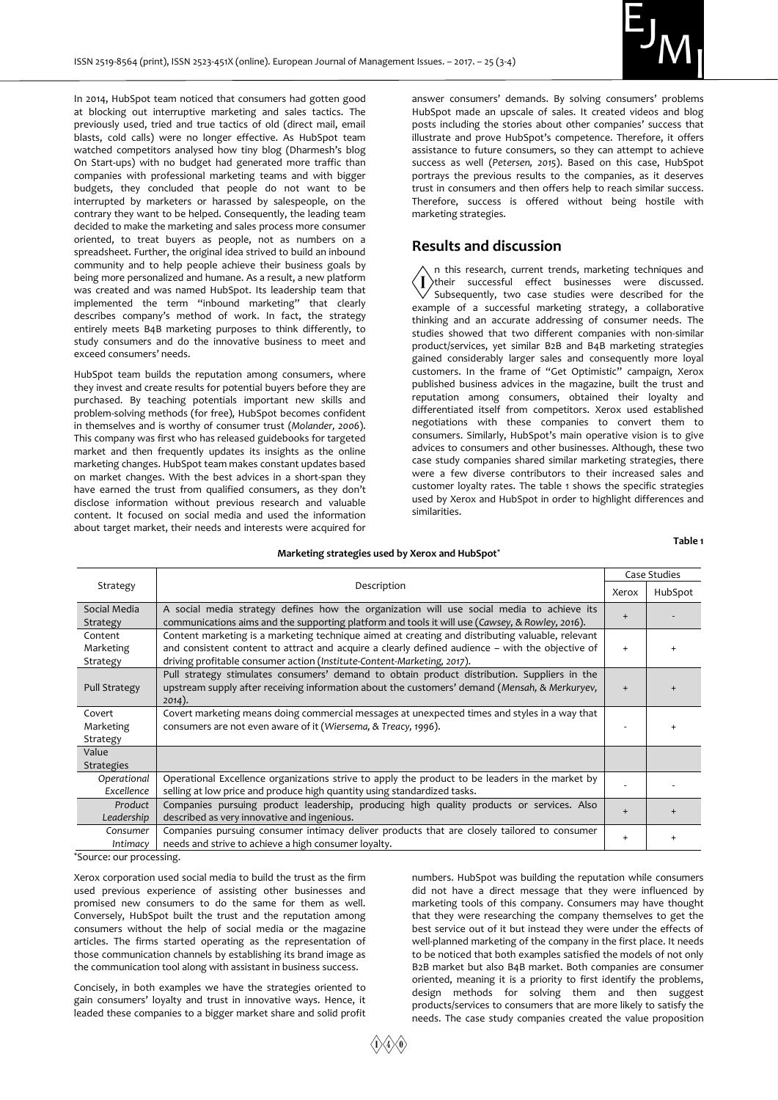

In 2014, HubSpot team noticed that consumers had gotten good at blocking out interruptive marketing and sales tactics. The previously used, tried and true tactics of old (direct mail, email blasts, cold calls) were no longer effective. As HubSpot team watched competitors analysed how tiny blog (Dharmesh's blog On Start-ups) with no budget had generated more traffic than companies with professional marketing teams and with bigger budgets, they concluded that people do not want to be interrupted by marketers or harassed by salespeople, on the contrary they want to be helped. Consequently, the leading team decided to make the marketing and sales process more consumer oriented, to treat buyers as people, not as numbers on a spreadsheet. Further, the original idea strived to build an inbound community and to help people achieve their business goals by being more personalized and humane. As a result, a new platform was created and was named HubSpot. Its leadership team that implemented the term "inbound marketing" that clearly describes company's method of work. In fact, the strategy entirely meets B4B marketing purposes to think differently, to study consumers and do the innovative business to meet and exceed consumers' needs.

HubSpot team builds the reputation among consumers, where they invest and create results for potential buyers before they are purchased. By teaching potentials important new skills and problem-solving methods (for free), HubSpot becomes confident in themselves and is worthy of consumer trust (*Molander, 2006*). This company was first who has released guidebooks for targeted market and then frequently updates its insights as the online marketing changes. HubSpot team makes constant updates based on market changes. With the best advices in a short-span they have earned the trust from qualified consumers, as they don't disclose information without previous research and valuable content. It focused on social media and used the information about target market, their needs and interests were acquired for

answer consumers' demands. By solving consumers' problems HubSpot made an upscale of sales. It created videos and blog posts including the stories about other companies' success that illustrate and prove HubSpot's competence. Therefore, it offers assistance to future consumers, so they can attempt to achieve success as well (*Petersen, 2015*). Based on this case, HubSpot portrays the previous results to the companies, as it deserves trust in consumers and then offers help to reach similar success. Therefore, success is offered without being hostile with marketing strategies.

#### **Results and discussion**

n this research, current trends, marketing techniques and  $\mathbf{I}$ their successful effect businesses were discussed.  $\sqrt{\ }$  Subsequently, two case studies were described for the example of a successful marketing strategy, a collaborative thinking and an accurate addressing of consumer needs. The studies showed that two different companies with non-similar product/services, yet similar B2B and B4B marketing strategies gained considerably larger sales and consequently more loyal customers. In the frame of "Get Optimistic" campaign, Xerox published business advices in the magazine, built the trust and reputation among consumers, obtained their loyalty and differentiated itself from competitors. Xerox used established negotiations with these companies to convert them to consumers. Similarly, HubSpot's main operative vision is to give advices to consumers and other businesses. Although, these two case study companies shared similar marketing strategies, there were a few diverse contributors to their increased sales and customer loyalty rates. The table 1 shows the specific strategies used by Xerox and HubSpot in order to highlight differences and similarities.

#### **Table 1**

## **Marketing strategies used by Xerox and HubSpot\***

| Strategy                         | Description                                                                                                                                                                                                                                                                     | Case Studies |         |
|----------------------------------|---------------------------------------------------------------------------------------------------------------------------------------------------------------------------------------------------------------------------------------------------------------------------------|--------------|---------|
|                                  |                                                                                                                                                                                                                                                                                 | Xerox        | HubSpot |
| Social Media<br>Strategy         | A social media strategy defines how the organization will use social media to achieve its<br>communications aims and the supporting platform and tools it will use (Cawsey, & Rowley, 2016).                                                                                    | $+$          |         |
| Content<br>Marketing<br>Strategy | Content marketing is a marketing technique aimed at creating and distributing valuable, relevant<br>and consistent content to attract and acquire a clearly defined audience - with the objective of<br>driving profitable consumer action (Institute-Content-Marketing, 2017). | $+$          |         |
| <b>Pull Strategy</b>             | Pull strategy stimulates consumers' demand to obtain product distribution. Suppliers in the<br>upstream supply after receiving information about the customers' demand (Mensah, & Merkuryev,<br>$2014$ ).                                                                       | $+$          |         |
| Covert<br>Marketing<br>Strategy  | Covert marketing means doing commercial messages at unexpected times and styles in a way that<br>consumers are not even aware of it (Wiersema, & Treacy, 1996).                                                                                                                 |              |         |
| Value<br><b>Strategies</b>       |                                                                                                                                                                                                                                                                                 |              |         |
| Operational<br>Excellence        | Operational Excellence organizations strive to apply the product to be leaders in the market by<br>selling at low price and produce high quantity using standardized tasks.                                                                                                     |              |         |
| Product<br>Leadership            | Companies pursuing product leadership, producing high quality products or services. Also<br>described as very innovative and ingenious.                                                                                                                                         |              |         |
| Consumer<br>Intimacy             | Companies pursuing consumer intimacy deliver products that are closely tailored to consumer<br>needs and strive to achieve a high consumer loyalty.                                                                                                                             | $+$          |         |

\*Source: our processing.

Xerox corporation used social media to build the trust as the firm used previous experience of assisting other businesses and promised new consumers to do the same for them as well. Conversely, HubSpot built the trust and the reputation among consumers without the help of social media or the magazine articles. The firms started operating as the representation of those communication channels by establishing its brand image as the communication tool along with assistant in business success.

Concisely, in both examples we have the strategies oriented to gain consumers' loyalty and trust in innovative ways. Hence, it leaded these companies to a bigger market share and solid profit

numbers. HubSpot was building the reputation while consumers did not have a direct message that they were influenced by marketing tools of this company. Consumers may have thought that they were researching the company themselves to get the best service out of it but instead they were under the effects of well-planned marketing of the company in the first place. It needs to be noticed that both examples satisfied the models of not only B2B market but also B4B market. Both companies are consumer oriented, meaning it is a priority to first identify the problems, design methods for solving them and then suggest products/services to consumers that are more likely to satisfy the needs. The case study companies created the value proposition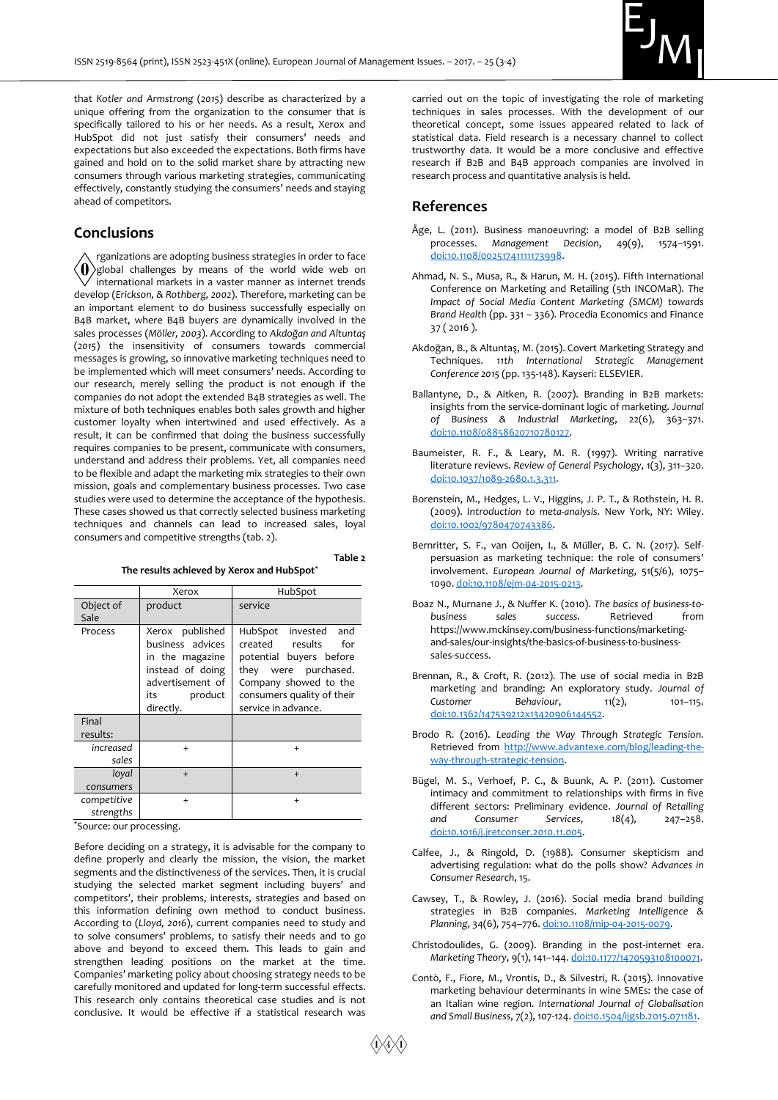

that *Kotler and Armstrong* (*2015*) describe as characterized by a unique offering from the organization to the consumer that is specifically tailored to his or her needs. As a result, Xerox and HubSpot did not just satisfy their consumers' needs and expectations but also exceeded the expectations. Both firms have gained and hold on to the solid market share by attracting new consumers through various marketing strategies, communicating effectively, constantly studying the consumers' needs and staying ahead of competitors.

#### **Conclusions**

rganizations are adopting business strategies in order to face <0 global challenges by means of the world wide web on international markets in a vaster manner as internet trends develop (*Erickson, & Rothberg, 2002*). Therefore, marketing can be an important element to do business successfully especially on B4B market, where B4B buyers are dynamically involved in the sales processes (*Möller, 2003*). According to *Akdoğan and Altuntaş* (*2015*) the insensitivity of consumers towards commercial messages is growing, so innovative marketing techniques need to be implemented which will meet consumers' needs. According to our research, merely selling the product is not enough if the companies do not adopt the extended B4B strategies as well. The mixture of both techniques enables both sales growth and higher customer loyalty when intertwined and used effectively. As a result, it can be confirmed that doing the business successfully requires companies to be present, communicate with consumers, understand and address their problems. Yet, all companies need to be flexible and adapt the marketing mix strategies to their own mission, goals and complementary business processes. Two case studies were used to determine the acceptance of the hypothesis. These cases showed us that correctly selected business marketing techniques and channels can lead to increased sales, loyal consumers and competitive strengths (tab. 2).

**Table 2** 

**The results achieved by Xerox and HubSpot\***

|                          | Xerox                                                                                                                            | HubSpot                                                                                                                                                                               |
|--------------------------|----------------------------------------------------------------------------------------------------------------------------------|---------------------------------------------------------------------------------------------------------------------------------------------------------------------------------------|
| Object of<br>Sale        | product                                                                                                                          | service                                                                                                                                                                               |
| Process                  | published<br>Xerox<br>business advices<br>in the magazine<br>instead of doing<br>advertisement of<br>product<br>its<br>directly. | HubSpot invested<br>and<br>created<br>results<br>for<br>potential buyers before<br>they were purchased.<br>Company showed to the<br>consumers quality of their<br>service in advance. |
| Final<br>results:        |                                                                                                                                  |                                                                                                                                                                                       |
| increased<br>sales       | $\ddot{}$                                                                                                                        | $\ddot{}$                                                                                                                                                                             |
| loyal<br>consumers       | $+$                                                                                                                              | $+$                                                                                                                                                                                   |
| competitive<br>strengths | $\ddot{}$                                                                                                                        | $\ddot{}$                                                                                                                                                                             |

\*Source: our processing.

Before deciding on a strategy, it is advisable for the company to define properly and clearly the mission, the vision, the market segments and the distinctiveness of the services. Then, it is crucial studying the selected market segment including buyers' and competitors', their problems, interests, strategies and based on this information defining own method to conduct business. According to (*Lloyd, 2016*), current companies need to study and to solve consumers' problems, to satisfy their needs and to go above and beyond to exceed them. This leads to gain and strengthen leading positions on the market at the time. Companies' marketing policy about choosing strategy needs to be carefully monitored and updated for long-term successful effects. This research only contains theoretical case studies and is not conclusive. It would be effective if a statistical research was

carried out on the topic of investigating the role of marketing techniques in sales processes. With the development of our theoretical concept, some issues appeared related to lack of statistical data. Field research is a necessary channel to collect trustworthy data. It would be a more conclusive and effective research if B2B and B4B approach companies are involved in research process and quantitative analysis is held.

#### **References**

- Åge, L. (2011). Business manoeuvring: a model of B2B selling processes. *Management Decision*, 49(9), 1574–1591. [doi:10.1108/00251741111173998.](https://doi.org/10.1108/00251741111173998)
- Ahmad, N. S., Musa, R., & Harun, M. H. (2015). Fifth International Conference on Marketing and Retailing (5th INCOMaR). *The Impact of Social Media Content Marketing (SMCM) towards Brand Health* (pp. 331 – 336). Procedia Economics and Finance 37 ( 2016 ).
- Akdoğan, B., & Altuntaş, M. (2015). Covert Marketing Strategy and Techniques. *11th International Strategic Management Conference 2015* (pp. 135-148). Kayseri: ELSEVIER.
- Ballantyne, D., & Aitken, R. (2007). Branding in B2B markets: insights from the service‐dominant logic of marketing. *Journal of Business & Industrial Marketing*, 22(6), 363–371. [doi:10.1108/08858620710780127.](https://doi.org/10.1108/08858620710780127)
- Baumeister, R. F., & Leary, M. R. (1997). Writing narrative literature reviews. *Review of General Psychology*, 1(3), 311–320. [doi:10.1037/1089-2680.1.3.311.](https://doi.org/10.1037/1089-2680.1.3.311)
- Borenstein, M., Hedges, L. V., Higgins, J. P. T., & Rothstein, H. R. (2009). *Introduction to meta-analysis*. New York, NY: Wiley. [doi:10.1002/9780470743386.](https://doi.org/10.1002/9780470743386)
- Bernritter, S. F., van Ooijen, I., & Müller, B. C. N. (2017). Selfpersuasion as marketing technique: the role of consumers' involvement. *European Journal of Marketing*, 51(5/6), 1075– 1090[. doi:10.1108/ejm-04-2015-0213.](https://doi.org/10.1108/ejm-04-2015-0213)
- Boaz N., Murnane J., & Nuffer K. (2010). *The basics of business-tobusiness sales success.* Retrieved from [https://www.mckinsey.com/business-functions/marketing](https://www.mckinsey.com/business-functions/marketing-and-sales/our-insights/the-)[and-sales/our-insights/the-b](https://www.mckinsey.com/business-functions/marketing-and-sales/our-insights/the-)asics-of-business-to-businesssales-success.
- Brennan, R., & Croft, R. (2012). The use of social media in B2B marketing and branding: An exploratory study. *Journal of*  Customer Behaviour, 11(2), 101-115. [doi:10.1362/147539212x13420906144552.](https://doi.org/10.1362/147539212x13420906144552)
- Brodo R. (2016). *Leading the Way Through Strategic Tension.* Retrieved from [http://www.advantexe.com/blog/leading-the](http://www.advantexe.com/blog/leading-the-way-through-strategic-tension)[way-through-strategic-tension.](http://www.advantexe.com/blog/leading-the-way-through-strategic-tension)
- Bügel, M. S., Verhoef, P. C., & Buunk, A. P. (2011). Customer intimacy and commitment to relationships with firms in five different sectors: Preliminary evidence. *Journal of Retailing and Consumer Services*, 18(4), 247–258. [doi:10.1016/j.jretconser.2010.11.005.](https://doi.org/10.1016/j.jretconser.2010.11.005)
- Calfee, J., & Ringold, D. (1988). Consumer skepticism and advertising regulation: what do the polls show? *Advances in Consumer Research*, 15.
- Cawsey, T., & Rowley, J. (2016). Social media brand building strategies in B2B companies. *Marketing Intelligence & Planning*, 34(6), 754–776[. doi:10.1108/mip-04-2015-0079.](https://doi.org/10.1108/mip-04-2015-0079)
- Christodoulides, G. (2009). Branding in the post-internet era. *Marketing Theory*, 9(1), 141–144[. doi:10.1177/1470593108100071.](https://doi.org/10.1177/1470593108100071)
- Contò, F., Fiore, M., Vrontis, D., & Silvestri, R. (2015). Innovative marketing behaviour determinants in wine SMEs: the case of an Italian wine region. *International Journal of Globalisation and Small Business*, 7(2), 107-124[. doi:10.1504/ijgsb.2015.071181.](https://doi.org/10.1504/ijgsb.2015.071181)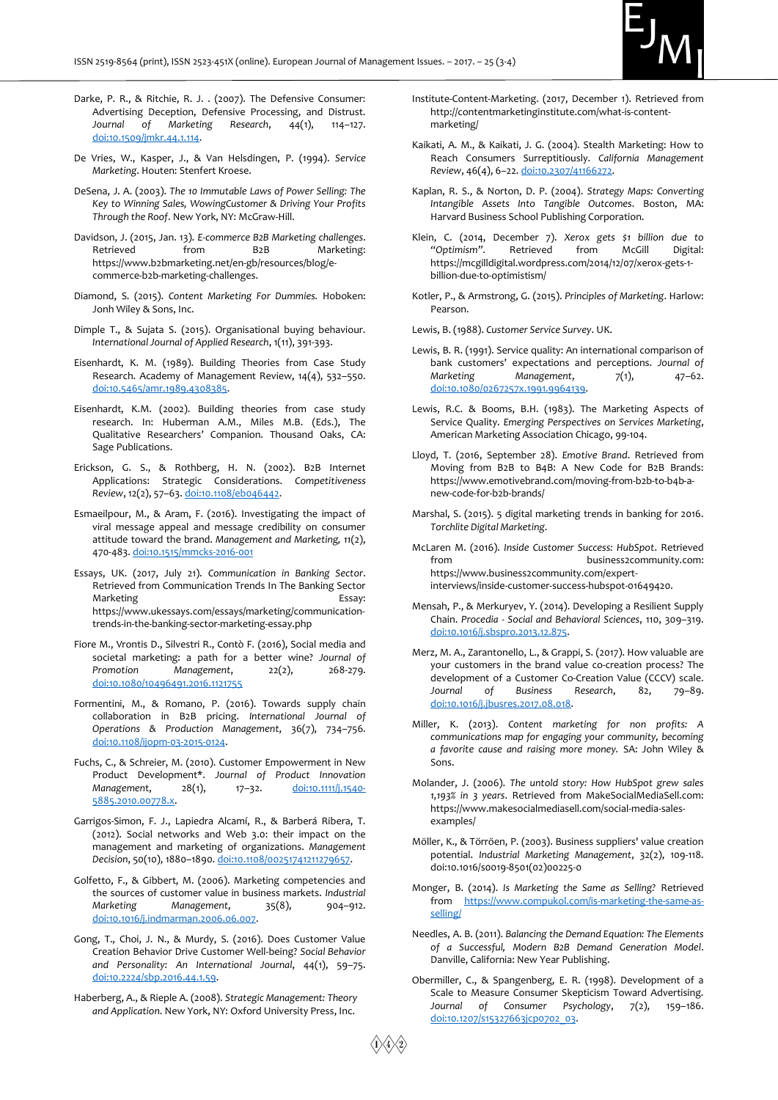

- Darke, P. R., & Ritchie, R. J. . (2007). The Defensive Consumer: Advertising Deception, Defensive Processing, and Distrust. *Journal of Marketing Research*, 44(1), 114–127. [doi:10.1509/jmkr.44.1.114.](https://doi.org/10.1509/jmkr.44.1.114)
- De Vries, W., Kasper, J., & Van Helsdingen, P. (1994). *Service Marketing*. Houten: Stenfert Kroese.
- DeSena, J. A. (2003). *The 10 Immutable Laws of Power Selling: The Key to Winning Sales, WowingCustomer & Driving Your Profits Through the Roof*. New York, NY: McGraw-Hill.
- Davidson, J. (2015, Jan. 13). *E-commerce B2B Marketing challenges*. Retrieved from B2B Marketing: https://www.b2bmarketing.net/en-gb/resources/blog/ecommerce-b2b-marketing-challenges.
- Diamond, S. (2015). *Content Marketing For Dummies.* Hoboken: Jonh Wiley & Sons, Inc.
- Dimple T., & Sujata S. (2015). Organisational buying behaviour. *International Journal of Applied Research*, 1(11), 391-393.
- Eisenhardt, K. M. (1989). Building Theories from Case Study Research. Academy of Management Review, 14(4), 532–550. [doi:10.5465/amr.1989.4308385.](https://doi.org/10.5465/amr.1989.4308385)
- Eisenhardt, K.M. (2002). Building theories from case study research. In: Huberman A.M., Miles M.B. (Eds.), The Qualitative Researchers' Companion. Thousand Oaks, CA: Sage Publications.
- Erickson, G. S., & Rothberg, H. N. (2002). B2B Internet Applications: Strategic Considerations. *Competitiveness Review*, 12(2), 57–63[. doi:10.1108/eb046442.](https://doi.org/10.1108/eb046442)
- Esmaeilpour, M., & Aram, F. (2016). Investigating the impact of viral message appeal and message credibility on consumer attitude toward the brand. *Management and Marketing, 11*(2), 470-483[. doi:10.1515/mmcks-2016-001](https://doi.org/10.1515/mmcks-2016-0010)
- Essays, UK. (2017, July 21). *Communication in Banking Sector*. Retrieved from Communication Trends In The Banking Sector Marketing **Essay:** https://www.ukessays.com/essays/marketing/communicationtrends-in-the-banking-sector-marketing-essay.php
- Fiore M., Vrontis D., Silvestri R., Contò F. (2016), Social media and societal marketing: a path for a better wine? *Journal of*  Promotion Management, 22(2), 268-279. [doi:10.1080/10496491.2016.1121755](https://doi.org/10.1080/10496491.2016.1121755)
- Formentini, M., & Romano, P. (2016). Towards supply chain collaboration in B2B pricing. *International Journal of Operations & Production Management*, 36(7), 734–756. [doi:10.1108/ijopm-03-2015-0124.](https://doi.org/10.1108/ijopm-03-2015-0124)
- Fuchs, C., & Schreier, M. (2010). Customer Empowerment in New Product Development\*. *Journal of Product Innovation*  Management, 28(1), 17-32. [doi:10.1111/j.1540-](https://doi.org/10.1111/j.1540-5885.2010.00778.x) [5885.2010.00778.x.](https://doi.org/10.1111/j.1540-5885.2010.00778.x)
- Garrigos‐Simon, F. J., Lapiedra Alcamí, R., & Barberá Ribera, T. (2012). Social networks and Web 3.0: their impact on the management and marketing of organizations. *Management Decision*, 50(10), 1880–1890[. doi:10.1108/00251741211279657.](https://doi.org/10.1108/00251741211279657)
- Golfetto, F., & Gibbert, M. (2006). Marketing competencies and the sources of customer value in business markets. *Industrial Marketing Management*, 35(8), 904–912. [doi:10.1016/j.indmarman.2006.06.007.](https://doi.org/10.1016/j.indmarman.2006.06.007)
- Gong, T., Choi, J. N., & Murdy, S. (2016). Does Customer Value Creation Behavior Drive Customer Well-being? *Social Behavior and Personality: An International Journal*, 44(1), 59–75. [doi:10.2224/sbp.2016.44.1.59.](https://doi.org/10.2224/sbp.2016.44.1.59)
- Haberberg, A., & Rieple A. (2008). *Strategic Management: Theory and Application*. New York, NY: Oxford University Press, Inc.
- Institute-Content-Marketing. (2017, December 1). Retrieved from http://contentmarketinginstitute.com/what-is-contentmarketing/
- Kaikati, A. M., & Kaikati, J. G. (2004). Stealth Marketing: How to Reach Consumers Surreptitiously. *California Management Review*, 46(4), 6–22[. doi:10.2307/41166272.](https://doi.org/10.2307/41166272)
- Kaplan, R. S., & Norton, D. P. (2004). *Strategy Maps: Converting Intangible Assets Into Tangible Outcomes*. Boston, MA: Harvard Business School Publishing Corporation.
- Klein, C. (2014, December 7). *Xerox gets \$1 billion due to "Optimism".* Retrieved from McGill Digital: https://mcgilldigital.wordpress.com/2014/12/07/xerox-gets-1 billion-due-to-optimistism/
- Kotler, P., & Armstrong, G. (2015). *Principles of Marketing*. Harlow: Pearson.

Lewis, B. (1988). *Customer Service Survey*. UK.

- Lewis, B. R. (1991). Service quality: An international comparison of bank customers' expectations and perceptions. *Journal of Marketing Management*, 7(1), 47-62. [doi:10.1080/0267257x.1991.9964139.](https://doi.org/10.1080/0267257x.1991.9964139)
- Lewis, R.C. & Booms, B.H. (1983). The Marketing Aspects of Service Quality. *Emerging Perspectives on Services Marketing*, American Marketing Association Chicago, 99-104.
- Lloyd, T. (2016, September 28). *Emotive Brand*. Retrieved from Moving from B2B to B4B: A New Code for B2B Brands: https://www.emotivebrand.com/moving-from-b2b-to-b4b-anew-code-for-b2b-brands/
- Marshal, S. (2015). 5 digital marketing trends in banking for 2016. *Torchlite Digital Marketing*.
- McLaren M. (2016). *Inside Customer Success: HubSpot*. Retrieved from business2community.com: https://www.business2community.com/expertinterviews/inside-customer-success-hubspot-01649420.
- Mensah, P., & Merkuryev, Y. (2014). Developing a Resilient Supply Chain. *Procedia - Social and Behavioral Sciences*, 110, 309–319. [doi:10.1016/j.sbspro.2013.12.875.](https://doi.org/10.1016/j.sbspro.2013.12.875)
- Merz, M. A., Zarantonello, L., & Grappi, S. (2017). How valuable are your customers in the brand value co-creation process? The development of a Customer Co-Creation Value (CCCV) scale. *Journal of Business Research*, 82, 79–89. [doi:10.1016/j.jbusres.2017.08.018.](https://doi.org/10.1016/j.jbusres.2017.08.018)
- Miller, K. (2013). *Content marketing for non profits: A communications map for engaging your community, becoming a favorite cause and raising more money.* SA: John Wiley & Sons.
- Molander, J. (2006). *The untold story: How HubSpot grew sales 1,193% in 3 years*. Retrieved from MakeSocialMediaSell.com: https://www.makesocialmediasell.com/social-media-salesexamples/
- Möller, K., & Törröen, P. (2003). Business suppliers' value creation potential. *Industrial Marketing Management*, 32(2), 109-118. doi:10.1016/s0019-8501(02)00225-0
- Monger, B. (2014). *Is Marketing the Same as Selling?* Retrieved from [https://www.compukol.com/is-marketing-the-same-as](https://www.compukol.com/is-marketing-the-same-as-selling/)[selling/](https://www.compukol.com/is-marketing-the-same-as-selling/)
- Needles, A. B. (2011). *Balancing the Demand Equation: The Elements of a Successful, Modern B2B Demand Generation Model*. Danville, California: New Year Publishing.
- Obermiller, C., & Spangenberg, E. R. (1998). Development of a Scale to Measure Consumer Skepticism Toward Advertising. *Journal of Consumer Psychology*, 7(2), 159–186. [doi:10.1207/s15327663jcp0702\\_03.](https://doi.org/10.1207/s15327663jcp0702_03)